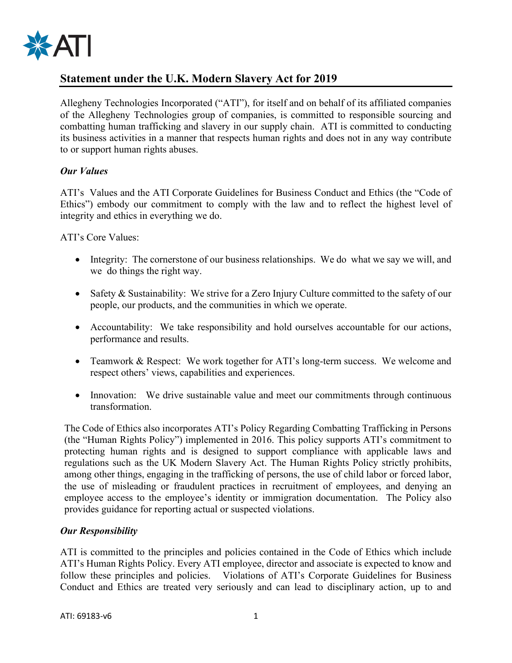

# **Statement under the U.K. Modern Slavery Act for 2019**

Allegheny Technologies Incorporated ("ATI"), for itself and on behalf of its affiliated companies of the Allegheny Technologies group of companies, is committed to responsible sourcing and combatting human trafficking and slavery in our supply chain. ATI is committed to conducting its business activities in a manner that respects human rights and does not in any way contribute to or support human rights abuses.

#### *Our Values*

ATI's Values and the ATI Corporate Guidelines for Business Conduct and Ethics (the "Code of Ethics") embody our commitment to comply with the law and to reflect the highest level of integrity and ethics in everything we do.

#### ATI's Core Values:

- Integrity: The cornerstone of our business relationships. We do what we say we will, and we do things the right way.
- Safety & Sustainability: We strive for a Zero Injury Culture committed to the safety of our people, our products, and the communities in which we operate.
- Accountability: We take responsibility and hold ourselves accountable for our actions, performance and results.
- Teamwork & Respect: We work together for ATI's long-term success. We welcome and respect others' views, capabilities and experiences.
- Innovation: We drive sustainable value and meet our commitments through continuous transformation.

The Code of Ethics also incorporates ATI's Policy Regarding Combatting Trafficking in Persons (the "Human Rights Policy") implemented in 2016. This policy supports ATI's commitment to protecting human rights and is designed to support compliance with applicable laws and regulations such as the UK Modern Slavery Act. The Human Rights Policy strictly prohibits, among other things, engaging in the trafficking of persons, the use of child labor or forced labor, the use of misleading or fraudulent practices in recruitment of employees, and denying an employee access to the employee's identity or immigration documentation. The Policy also provides guidance for reporting actual or suspected violations.

#### *Our Responsibility*

ATI is committed to the principles and policies contained in the Code of Ethics which include ATI's Human Rights Policy. Every ATI employee, director and associate is expected to know and follow these principles and policies. Violations of ATI's Corporate Guidelines for Business Conduct and Ethics are treated very seriously and can lead to disciplinary action, up to and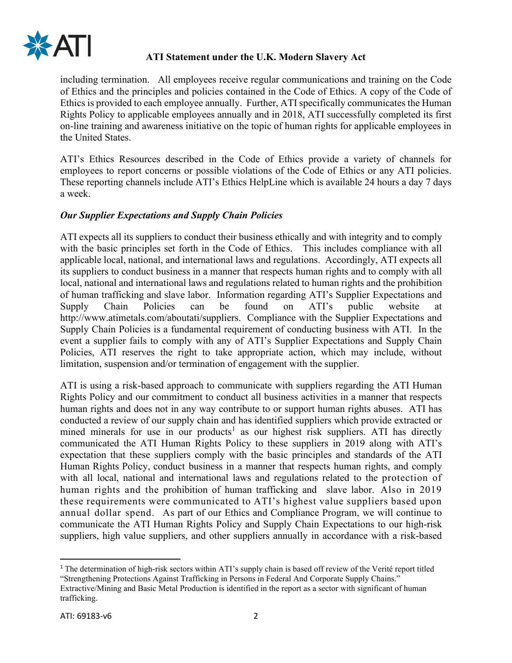

## **ATI Statement under the U.K. Modern Slavery Act**

including termination. All employees receive regular communications and training on the Code of Ethics and the principles and policies contained in the Code of Ethics. A copy of the Code of Ethics is provided to each employee annually. Further, ATI specifically communicates the Human Rights Policy to applicable employees annually and in 2018, ATI successfully completed its first on-line training and awareness initiative on the topic of human rights for applicable employees in the United States.

ATI's Ethics Resources described in the Code of Ethics provide a variety of channels for employees to report concerns or possible violations of the Code of Ethics or any ATI policies. These reporting channels include ATI's Ethics HelpLine which is available 24 hours a day 7 days a week.

### *Our Supplier Expectations and Supply Chain Policies*

ATI expects all its suppliers to conduct their business ethically and with integrity and to comply with the basic principles set forth in the Code of Ethics. This includes compliance with all applicable local, national, and international laws and regulations. Accordingly, ATI expects all its suppliers to conduct business in a manner that respects human rights and to comply with all local, national and international laws and regulations related to human rights and the prohibition of human trafficking and slave labor. Information regarding ATI's Supplier Expectations and Supply Chain Policies can be found on ATI's public website at http://www.atimetals.com/aboutati/suppliers. Compliance with the Supplier Expectations and Supply Chain Policies is a fundamental requirement of conducting business with ATI. In the event a supplier fails to comply with any of ATI's Supplier Expectations and Supply Chain Policies, ATI reserves the right to take appropriate action, which may include, without limitation, suspension and/or termination of engagement with the supplier.

ATI is using a risk-based approach to communicate with suppliers regarding the ATI Human Rights Policy and our commitment to conduct all business activities in a manner that respects human rights and does not in any way contribute to or support human rights abuses. ATI has conducted a review of our supply chain and has identified suppliers which provide extracted or mined minerals for use in our products<sup>[1](#page-1-0)</sup> as our highest risk suppliers. ATI has directly communicated the ATI Human Rights Policy to these suppliers in 2019 along with ATI's expectation that these suppliers comply with the basic principles and standards of the ATI Human Rights Policy, conduct business in a manner that respects human rights, and comply with all local, national and international laws and regulations related to the protection of human rights and the prohibition of human trafficking and slave labor. Also in 2019 these requirements were communicated to ATI's highest value suppliers based upon annual dollar spend. As part of our Ethics and Compliance Program, we will continue to communicate the ATI Human Rights Policy and Supply Chain Expectations to our high-risk suppliers, high value suppliers, and other suppliers annually in accordance with a risk-based

<span id="page-1-0"></span><sup>&</sup>lt;sup>1</sup> The determination of high-risk sectors within ATI's supply chain is based off review of the Verité report titled "Strengthening Protections Against Trafficking in Persons in Federal And Corporate Supply Chains."

Extractive/Mining and Basic Metal Production is identified in the report as a sector with significant of human trafficking.